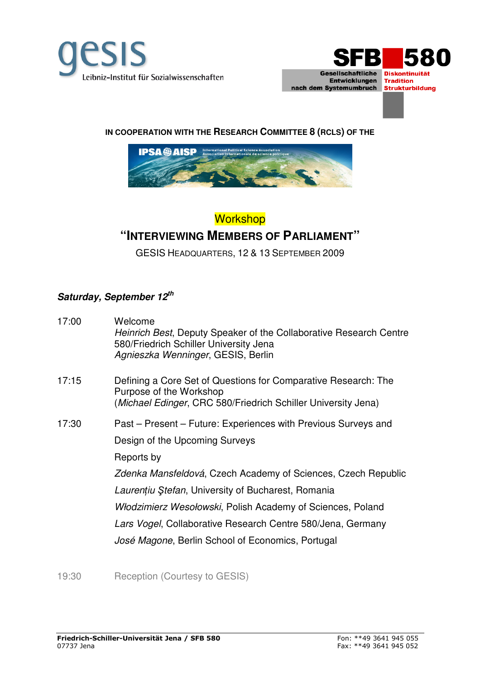



## **IN COOPERATION WITH THE RESEARCH COMMITTEE 8 (RCLS) OF THE**



## **Workshop "INTERVIEWING MEMBERS OF PARLIAMENT"**

GESIS HEADQUARTERS, 12 & 13 SEPTEMBER 2009

## **Saturday, September 12th**

| 17:00 | Welcome<br>Heinrich Best, Deputy Speaker of the Collaborative Research Centre<br>580/Friedrich Schiller University Jena<br>Agnieszka Wenninger, GESIS, Berlin |
|-------|---------------------------------------------------------------------------------------------------------------------------------------------------------------|
| 17:15 | Defining a Core Set of Questions for Comparative Research: The<br>Purpose of the Workshop<br>(Michael Edinger, CRC 580/Friedrich Schiller University Jena)    |
| 17:30 | Past – Present – Future: Experiences with Previous Surveys and                                                                                                |
|       | Design of the Upcoming Surveys                                                                                                                                |
|       | Reports by                                                                                                                                                    |
|       | Zdenka Mansfeldová, Czech Academy of Sciences, Czech Republic                                                                                                 |
|       | Laurențiu Ștefan, University of Bucharest, Romania                                                                                                            |
|       | Włodzimierz Wesołowski, Polish Academy of Sciences, Poland                                                                                                    |
|       | Lars Vogel, Collaborative Research Centre 580/Jena, Germany                                                                                                   |
|       | José Magone, Berlin School of Economics, Portugal                                                                                                             |
|       |                                                                                                                                                               |

19:30 Reception (Courtesy to GESIS)